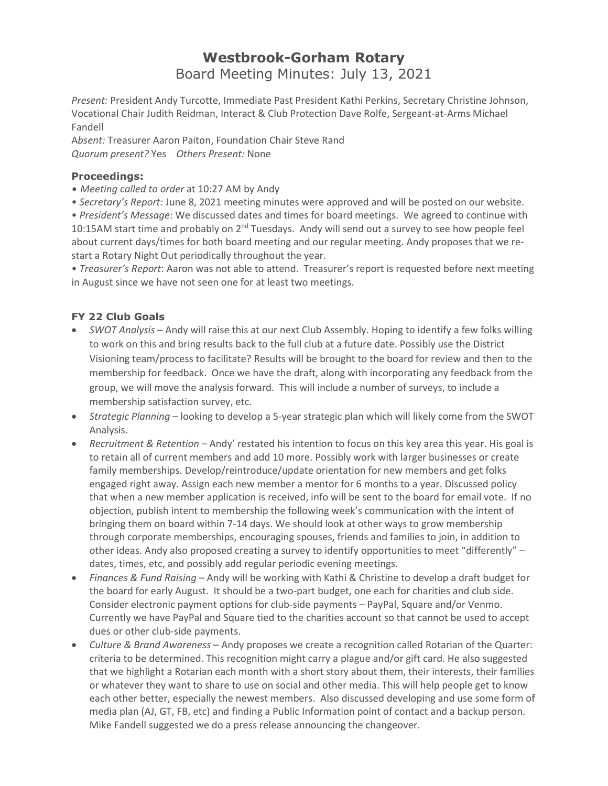# **Westbrook-Gorham Rotary** Board Meeting Minutes: July 13, 2021

*Present:* President Andy Turcotte, Immediate Past President Kathi Perkins, Secretary Christine Johnson, Vocational Chair Judith Reidman, Interact & Club Protection Dave Rolfe, Sergeant-at-Arms Michael Fandell

A*bsent:* Treasurer Aaron Paiton, Foundation Chair Steve Rand *Quorum present?* Yes *Others Present:* None

### **Proceedings:**

- *Meeting called to order* at 10:27 AM by Andy
- *Secretary's Report:* June 8, 2021 meeting minutes were approved and will be posted on our website.

• *President's Message*: We discussed dates and times for board meetings. We agreed to continue with 10:15AM start time and probably on 2<sup>nd</sup> Tuesdays. Andy will send out a survey to see how people feel about current days/times for both board meeting and our regular meeting. Andy proposes that we restart a Rotary Night Out periodically throughout the year.

• *Treasurer's Report*: Aaron was not able to attend. Treasurer's report is requested before next meeting in August since we have not seen one for at least two meetings.

## **FY 22 Club Goals**

- *SWOT Analysis* Andy will raise this at our next Club Assembly. Hoping to identify a few folks willing to work on this and bring results back to the full club at a future date. Possibly use the District Visioning team/process to facilitate? Results will be brought to the board for review and then to the membership for feedback. Once we have the draft, along with incorporating any feedback from the group, we will move the analysis forward. This will include a number of surveys, to include a membership satisfaction survey, etc.
- *Strategic Planning* looking to develop a 5-year strategic plan which will likely come from the SWOT Analysis.
- *Recruitment & Retention* Andy' restated his intention to focus on this key area this year. His goal is to retain all of current members and add 10 more. Possibly work with larger businesses or create family memberships. Develop/reintroduce/update orientation for new members and get folks engaged right away. Assign each new member a mentor for 6 months to a year. Discussed policy that when a new member application is received, info will be sent to the board for email vote. If no objection, publish intent to membership the following week's communication with the intent of bringing them on board within 7-14 days. We should look at other ways to grow membership through corporate memberships, encouraging spouses, friends and families to join, in addition to other ideas. Andy also proposed creating a survey to identify opportunities to meet "differently" – dates, times, etc, and possibly add regular periodic evening meetings.
- *Finances & Fund Raising* Andy will be working with Kathi & Christine to develop a draft budget for the board for early August. It should be a two-part budget, one each for charities and club side. Consider electronic payment options for club-side payments – PayPal, Square and/or Venmo. Currently we have PayPal and Square tied to the charities account so that cannot be used to accept dues or other club-side payments.
- *Culture & Brand Awareness* Andy proposes we create a recognition called Rotarian of the Quarter: criteria to be determined. This recognition might carry a plague and/or gift card. He also suggested that we highlight a Rotarian each month with a short story about them, their interests, their families or whatever they want to share to use on social and other media. This will help people get to know each other better, especially the newest members. Also discussed developing and use some form of media plan (AJ, GT, FB, etc) and finding a Public Information point of contact and a backup person. Mike Fandell suggested we do a press release announcing the changeover.